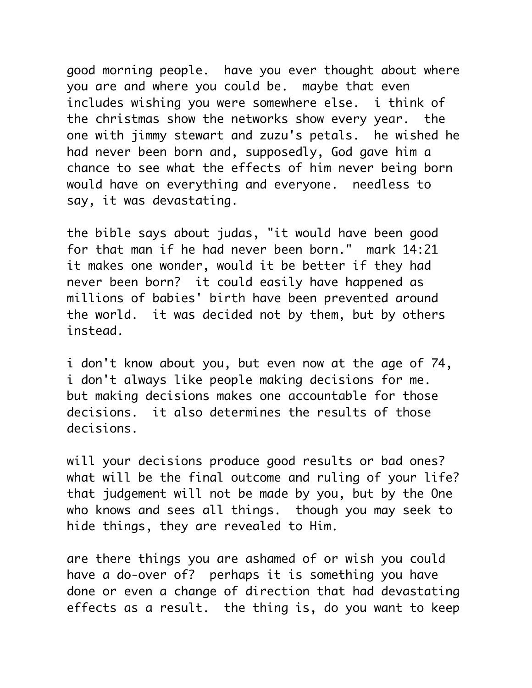good morning people. have you ever thought about where you are and where you could be. maybe that even includes wishing you were somewhere else. i think of the christmas show the networks show every year. the one with jimmy stewart and zuzu's petals. he wished he had never been born and, supposedly, God gave him a chance to see what the effects of him never being born would have on everything and everyone. needless to say, it was devastating.

the bible says about judas, "it would have been good for that man if he had never been born." mark 14:21 it makes one wonder, would it be better if they had never been born? it could easily have happened as millions of babies' birth have been prevented around the world. it was decided not by them, but by others instead.

i don't know about you, but even now at the age of 74, i don't always like people making decisions for me. but making decisions makes one accountable for those decisions. it also determines the results of those decisions.

will your decisions produce good results or bad ones? what will be the final outcome and ruling of your life? that judgement will not be made by you, but by the One who knows and sees all things. though you may seek to hide things, they are revealed to Him.

are there things you are ashamed of or wish you could have a do-over of? perhaps it is something you have done or even a change of direction that had devastating effects as a result. the thing is, do you want to keep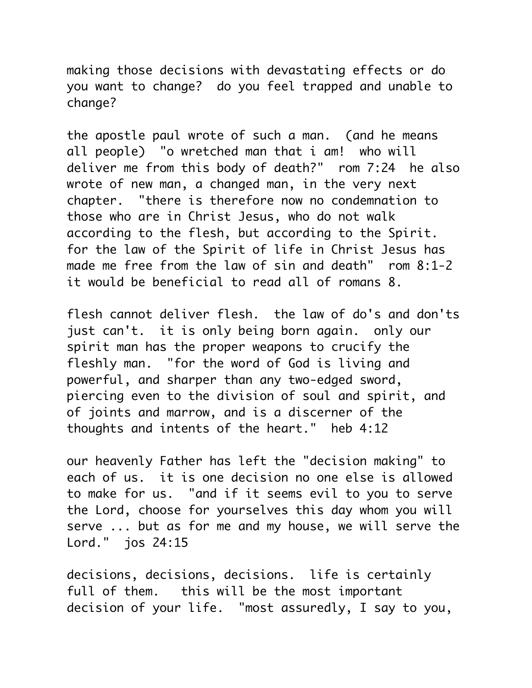making those decisions with devastating effects or do you want to change? do you feel trapped and unable to change?

the apostle paul wrote of such a man. (and he means all people) "o wretched man that i am! who will deliver me from this body of death?" rom 7:24 he also wrote of new man, a changed man, in the very next chapter. "there is therefore now no condemnation to those who are in Christ Jesus, who do not walk according to the flesh, but according to the Spirit. for the law of the Spirit of life in Christ Jesus has made me free from the law of sin and death" rom 8:1-2 it would be beneficial to read all of romans 8.

flesh cannot deliver flesh. the law of do's and don'ts just can't. it is only being born again. only our spirit man has the proper weapons to crucify the fleshly man. "for the word of God is living and powerful, and sharper than any two-edged sword, piercing even to the division of soul and spirit, and of joints and marrow, and is a discerner of the thoughts and intents of the heart." heb 4:12

our heavenly Father has left the "decision making" to each of us. it is one decision no one else is allowed to make for us. "and if it seems evil to you to serve the Lord, choose for yourselves this day whom you will serve ... but as for me and my house, we will serve the Lord." jos 24:15

decisions, decisions, decisions. life is certainly full of them. this will be the most important decision of your life. "most assuredly, I say to you,